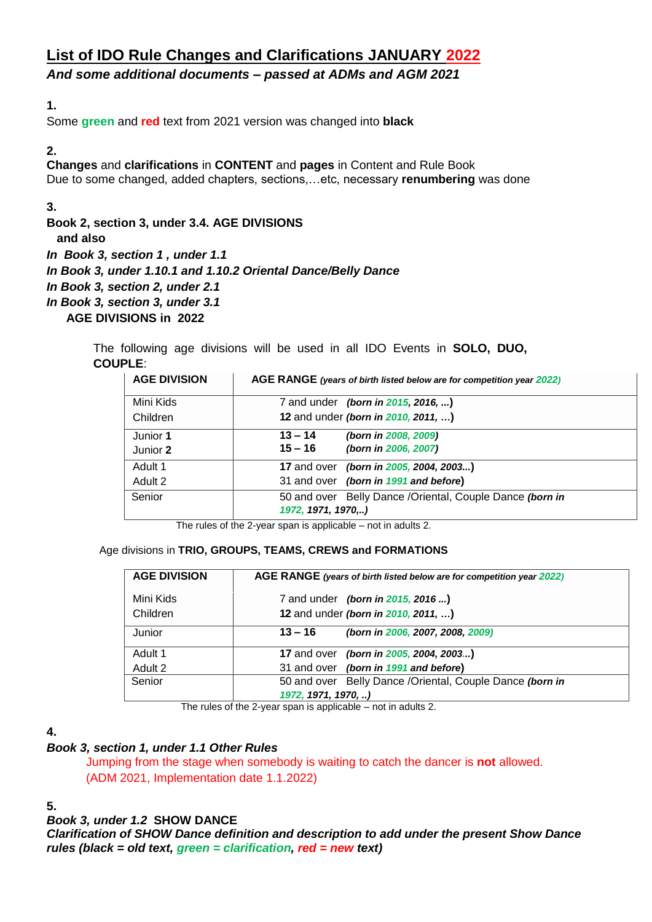# **List of IDO Rule Changes and Clarifications JANUARY 2022**

*And some additional documents – passed at ADMs and AGM 2021*

# **1.**

Some **green** and **red** text from 2021 version was changed into **black**

**2.**

**Changes** and **clarifications** in **CONTENT** and **pages** in Content and Rule Book Due to some changed, added chapters, sections,…etc, necessary **renumbering** was done

**3.**

**Book 2, section 3, under 3.4. AGE DIVISIONS** 

 **and also**

*In Book 3, section 1 , under 1.1*

*In Book 3, under 1.10.1 and 1.10.2 Oriental Dance/Belly Dance*

- *In Book 3, section 2, under 2.1*
- *In Book 3, section 3, under 3.1*
	- **AGE DIVISIONS in 2022**

The following age divisions will be used in all IDO Events in **SOLO, DUO, COUPLE**:

| <b>AGE DIVISION</b> | AGE RANGE (years of birth listed below are for competition year 2022)           |
|---------------------|---------------------------------------------------------------------------------|
| Mini Kids           | 7 and under (born in 2015, 2016, )                                              |
| Children            | 12 and under (born in 2010, 2011, )                                             |
| Junior 1            | $13 - 14$<br>(born in 2008, 2009)                                               |
| Junior 2            | $15 - 16$<br>(born in 2006, 2007)                                               |
| Adult 1             | 17 and over (born in 2005, 2004, 2003)                                          |
| Adult 2             | 31 and over (born in 1991 and before)                                           |
| Senior              | 50 and over Belly Dance / Oriental, Couple Dance (born in<br>1972, 1971, 1970,) |

The rules of the 2-year span is applicable – not in adults 2.

## Age divisions in **TRIO, GROUPS, TEAMS, CREWS and FORMATIONS**

| <b>AGE DIVISION</b> | AGE RANGE (years of birth listed below are for competition year 2022) |
|---------------------|-----------------------------------------------------------------------|
| Mini Kids           | 7 and under (born in 2015, 2016 )                                     |
| Children            | 12 and under (born in 2010, 2011, )                                   |
| Junior              | $13 - 16$<br>(born in 2006, 2007, 2008, 2009)                         |
| Adult 1             | 17 and over <i>(born in 2005, 2004, 2003)</i>                         |
| Adult 2             | 31 and over (born in 1991 and before)                                 |
| Senior              | 50 and over Belly Dance / Oriental, Couple Dance (born in             |
|                     | 1972, 1971, 1970, )                                                   |

The rules of the 2-year span is applicable – not in adults 2.

# **4.**

# *Book 3, section 1, under 1.1 Other Rules*

Jumping from the stage when somebody is waiting to catch the dancer is **not** allowed. (ADM 2021, Implementation date 1.1.2022)

# **5.**

## *Book 3, under 1.2* **SHOW DANCE**

*Clarification of SHOW Dance definition and description to add under the present Show Dance rules (black = old text, green = clarification, red = new text)*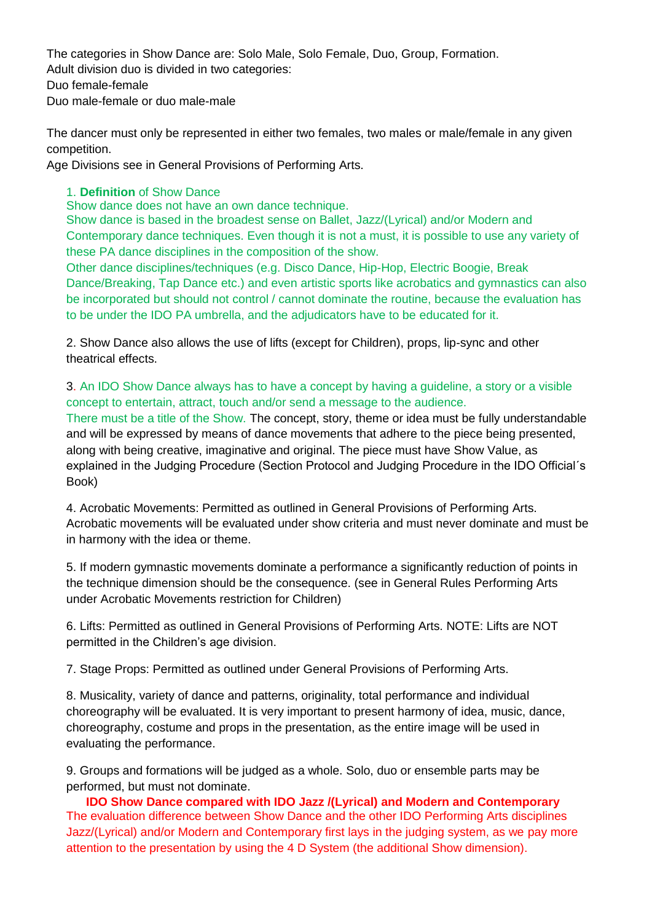The categories in Show Dance are: Solo Male, Solo Female, Duo, Group, Formation. Adult division duo is divided in two categories: Duo female-female Duo male-female or duo male-male

The dancer must only be represented in either two females, two males or male/female in any given competition.

Age Divisions see in General Provisions of Performing Arts.

# 1. **Definition** of Show Dance

Show dance does not have an own dance technique.

Show dance is based in the broadest sense on Ballet, Jazz/(Lyrical) and/or Modern and Contemporary dance techniques. Even though it is not a must, it is possible to use any variety of these PA dance disciplines in the composition of the show.

Other dance disciplines/techniques (e.g. Disco Dance, Hip-Hop, Electric Boogie, Break Dance/Breaking, Tap Dance etc.) and even artistic sports like acrobatics and gymnastics can also be incorporated but should not control / cannot dominate the routine, because the evaluation has to be under the IDO PA umbrella, and the adjudicators have to be educated for it.

2. Show Dance also allows the use of lifts (except for Children), props, lip-sync and other theatrical effects.

# 3. An IDO Show Dance always has to have a concept by having a guideline, a story or a visible concept to entertain, attract, touch and/or send a message to the audience.

There must be a title of the Show. The concept, story, theme or idea must be fully understandable and will be expressed by means of dance movements that adhere to the piece being presented, along with being creative, imaginative and original. The piece must have Show Value, as explained in the Judging Procedure (Section Protocol and Judging Procedure in the IDO Official´s Book)

4. Acrobatic Movements: Permitted as outlined in General Provisions of Performing Arts. Acrobatic movements will be evaluated under show criteria and must never dominate and must be in harmony with the idea or theme.

5. If modern gymnastic movements dominate a performance a significantly reduction of points in the technique dimension should be the consequence. (see in General Rules Performing Arts under Acrobatic Movements restriction for Children)

6. Lifts: Permitted as outlined in General Provisions of Performing Arts. NOTE: Lifts are NOT permitted in the Children's age division.

7. Stage Props: Permitted as outlined under General Provisions of Performing Arts.

8. Musicality, variety of dance and patterns, originality, total performance and individual choreography will be evaluated. It is very important to present harmony of idea, music, dance, choreography, costume and props in the presentation, as the entire image will be used in evaluating the performance.

9. Groups and formations will be judged as a whole. Solo, duo or ensemble parts may be performed, but must not dominate.

**IDO Show Dance compared with IDO Jazz /(Lyrical) and Modern and Contemporary** The evaluation difference between Show Dance and the other IDO Performing Arts disciplines Jazz/(Lyrical) and/or Modern and Contemporary first lays in the judging system, as we pay more attention to the presentation by using the 4 D System (the additional Show dimension).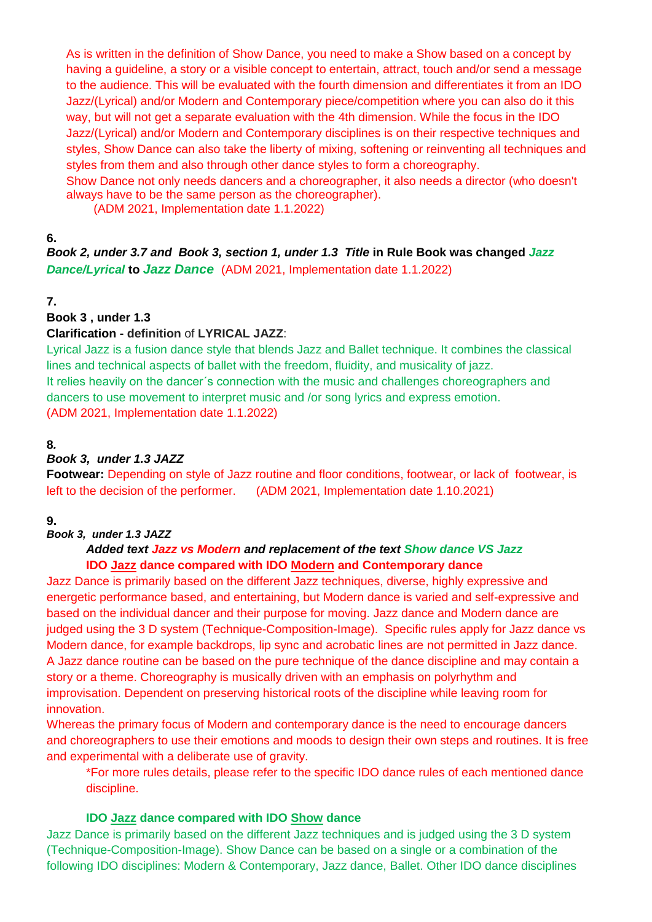As is written in the definition of Show Dance, you need to make a Show based on a concept by having a guideline, a story or a visible concept to entertain, attract, touch and/or send a message to the audience. This will be evaluated with the fourth dimension and differentiates it from an IDO Jazz/(Lyrical) and/or Modern and Contemporary piece/competition where you can also do it this way, but will not get a separate evaluation with the 4th dimension. While the focus in the IDO Jazz/(Lyrical) and/or Modern and Contemporary disciplines is on their respective techniques and styles, Show Dance can also take the liberty of mixing, softening or reinventing all techniques and styles from them and also through other dance styles to form a choreography.

Show Dance not only needs dancers and a choreographer, it also needs a director (who doesn't always have to be the same person as the choreographer).

(ADM 2021, Implementation date 1.1.2022)

# **6.**

*Book 2, under 3.7 and Book 3, section 1, under 1.3 Title* **in Rule Book was changed** *Jazz Dance/Lyrical* **to** *Jazz Dance* (ADM 2021, Implementation date 1.1.2022)

# **7.**

#### **Book 3 , under 1.3**

## **Clarification - definition** of **LYRICAL JAZZ**:

Lyrical Jazz is a fusion dance style that blends Jazz and Ballet technique. It combines the classical lines and technical aspects of ballet with the freedom, fluidity, and musicality of jazz. It relies heavily on the dancer´s connection with the music and challenges choreographers and dancers to use movement to interpret music and /or song lyrics and express emotion. (ADM 2021, Implementation date 1.1.2022)

## **8***.*

## *Book 3, under 1.3 JAZZ*

**Footwear:** Depending on style of Jazz routine and floor conditions, footwear, or lack of footwear, is left to the decision of the performer. (ADM 2021, Implementation date 1.10.2021)

## **9.**

## *Book 3, under 1.3 JAZZ*

# *Added text Jazz vs Modern and replacement of the text Show dance VS Jazz* **IDO Jazz dance compared with IDO Modern and Contemporary dance**

Jazz Dance is primarily based on the different Jazz techniques, diverse, highly expressive and energetic performance based, and entertaining, but Modern dance is varied and self-expressive and based on the individual dancer and their purpose for moving. Jazz dance and Modern dance are judged using the 3 D system (Technique-Composition-Image). Specific rules apply for Jazz dance vs Modern dance, for example backdrops, lip sync and acrobatic lines are not permitted in Jazz dance. A Jazz dance routine can be based on the pure technique of the dance discipline and may contain a story or a theme. Choreography is musically driven with an emphasis on polyrhythm and improvisation. Dependent on preserving historical roots of the discipline while leaving room for innovation.

Whereas the primary focus of Modern and contemporary dance is the need to encourage dancers and choreographers to use their emotions and moods to design their own steps and routines. It is free and experimental with a deliberate use of gravity.

\*For more rules details, please refer to the specific IDO dance rules of each mentioned dance discipline.

## **IDO Jazz dance compared with IDO Show dance**

Jazz Dance is primarily based on the different Jazz techniques and is judged using the 3 D system (Technique-Composition-Image). Show Dance can be based on a single or a combination of the following IDO disciplines: Modern & Contemporary, Jazz dance, Ballet. Other IDO dance disciplines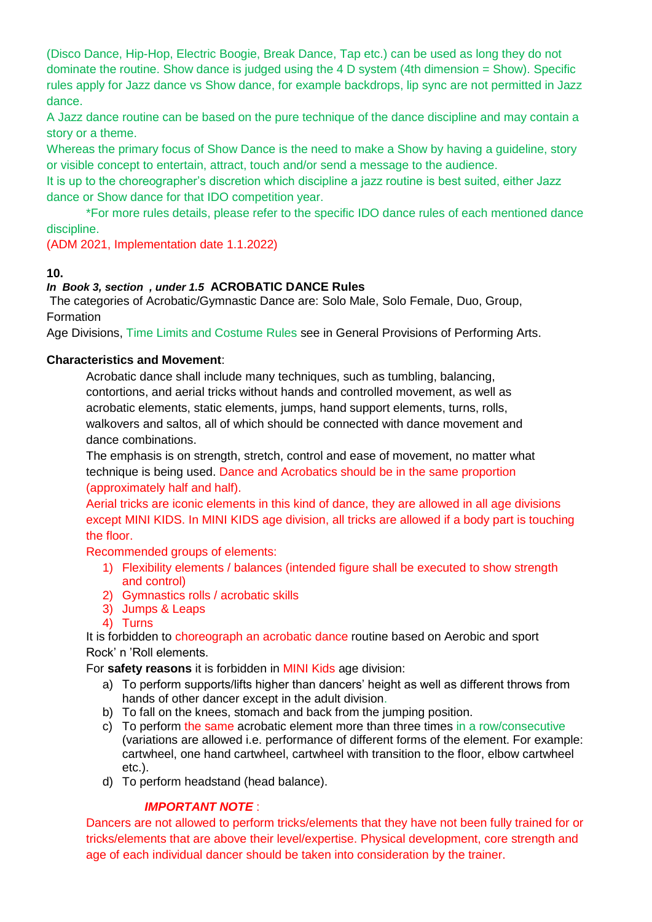(Disco Dance, Hip-Hop, Electric Boogie, Break Dance, Tap etc.) can be used as long they do not dominate the routine. Show dance is judged using the 4 D system (4th dimension = Show). Specific rules apply for Jazz dance vs Show dance, for example backdrops, lip sync are not permitted in Jazz dance.

A Jazz dance routine can be based on the pure technique of the dance discipline and may contain a story or a theme.

Whereas the primary focus of Show Dance is the need to make a Show by having a guideline, story or visible concept to entertain, attract, touch and/or send a message to the audience.

It is up to the choreographer's discretion which discipline a jazz routine is best suited, either Jazz dance or Show dance for that IDO competition year.

\*For more rules details, please refer to the specific IDO dance rules of each mentioned dance discipline.

(ADM 2021, Implementation date 1.1.2022)

## **10.**

## *In Book 3, section , under 1.5* **ACROBATIC DANCE Rules**

The categories of Acrobatic/Gymnastic Dance are: Solo Male, Solo Female, Duo, Group, Formation

Age Divisions, Time Limits and Costume Rules see in General Provisions of Performing Arts.

## **Characteristics and Movement**:

Acrobatic dance shall include many techniques, such as tumbling, balancing, contortions, and aerial tricks without hands and controlled movement, as well as acrobatic elements, static elements, jumps, hand support elements, turns, rolls, walkovers and saltos, all of which should be connected with dance movement and dance combinations.

The emphasis is on strength, stretch, control and ease of movement, no matter what technique is being used. Dance and Acrobatics should be in the same proportion (approximately half and half).

Aerial tricks are iconic elements in this kind of dance, they are allowed in all age divisions except MINI KIDS. In MINI KIDS age division, all tricks are allowed if a body part is touching the floor.

Recommended groups of elements:

- 1) Flexibility elements / balances (intended figure shall be executed to show strength and control)
- 2) Gymnastics rolls / acrobatic skills
- 3) Jumps & Leaps
- 4) Turns

It is forbidden to choreograph an acrobatic dance routine based on Aerobic and sport Rock' n 'Roll elements.

For **safety reasons** it is forbidden in MINI Kids age division:

- a) To perform supports/lifts higher than dancers' height as well as different throws from hands of other dancer except in the adult division.
- b) To fall on the knees, stomach and back from the jumping position.
- c) To perform the same acrobatic element more than three times in a row/consecutive (variations are allowed i.e. performance of different forms of the element. For example: cartwheel, one hand cartwheel, cartwheel with transition to the floor, elbow cartwheel etc.).
- d) To perform headstand (head balance).

# *IMPORTANT NOTE* :

Dancers are not allowed to perform tricks/elements that they have not been fully trained for or tricks/elements that are above their level/expertise. Physical development, core strength and age of each individual dancer should be taken into consideration by the trainer.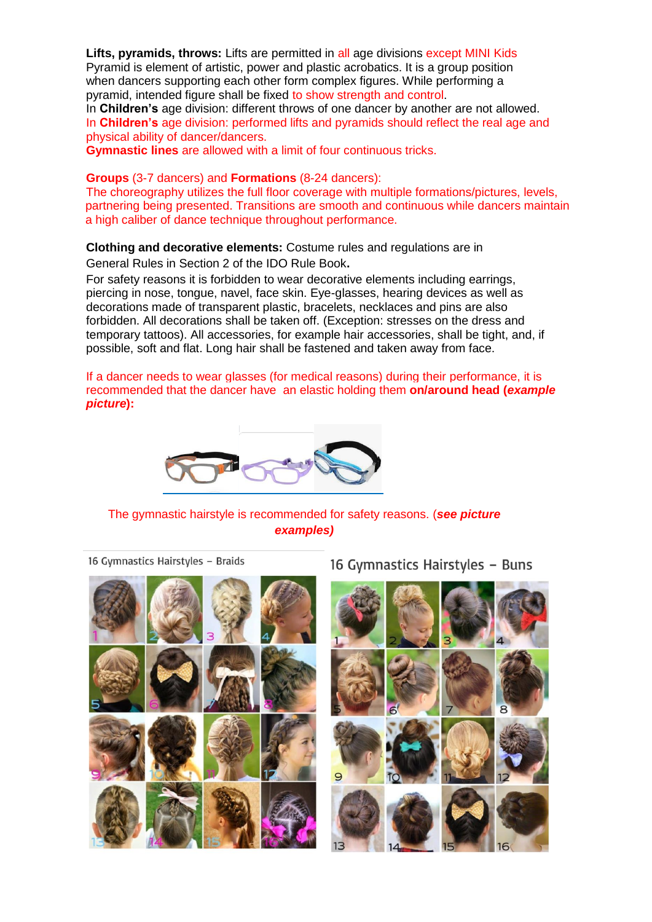**Lifts, pyramids, throws:** Lifts are permitted in all age divisions except MINI Kids Pyramid is element of artistic, power and plastic acrobatics. It is a group position when dancers supporting each other form complex figures. While performing a pyramid, intended figure shall be fixed to show strength and control.

In **Children's** age division: different throws of one dancer by another are not allowed. In **Children's** age division: performed lifts and pyramids should reflect the real age and physical ability of dancer/dancers.

**Gymnastic lines** are allowed with a limit of four continuous tricks.

#### **Groups** (3-7 dancers) and **Formations** (8-24 dancers):

The choreography utilizes the full floor coverage with multiple formations/pictures, levels, partnering being presented. Transitions are smooth and continuous while dancers maintain a high caliber of dance technique throughout performance.

**Clothing and decorative elements:** Costume rules and regulations are in

General Rules in Section 2 of the IDO Rule Book**.** 

For safety reasons it is forbidden to wear decorative elements including earrings, piercing in nose, tongue, navel, face skin. Eye-glasses, hearing devices as well as decorations made of transparent plastic, bracelets, necklaces and pins are also forbidden. All decorations shall be taken off. (Exception: stresses on the dress and temporary tattoos). All accessories, for example hair accessories, shall be tight, and, if possible, soft and flat. Long hair shall be fastened and taken away from face.

If a dancer needs to wear glasses (for medical reasons) during their performance, it is recommended that the dancer have an elastic holding them **on/around head (***example picture***):**



The gymnastic hairstyle is recommended for safety reasons. (*see picture examples)*

16 Gymnastics Hairstyles - Braids



# 16 Gymnastics Hairstyles - Buns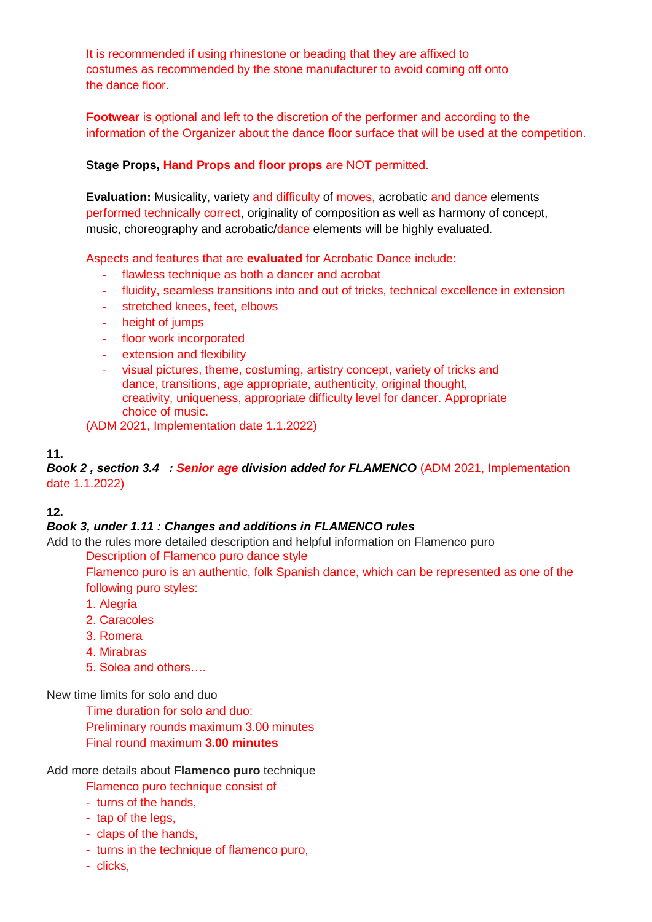It is recommended if using rhinestone or beading that they are affixed to costumes as recommended by the stone manufacturer to avoid coming off onto the dance floor.

**Footwear** is optional and left to the discretion of the performer and according to the information of the Organizer about the dance floor surface that will be used at the competition.

# **Stage Props, Hand Props and floor props** are NOT permitted.

**Evaluation:** Musicality, variety and difficulty of moves, acrobatic and dance elements performed technically correct, originality of composition as well as harmony of concept, music, choreography and acrobatic/dance elements will be highly evaluated.

Aspects and features that are **evaluated** for Acrobatic Dance include:

- flawless technique as both a dancer and acrobat
- fluidity, seamless transitions into and out of tricks, technical excellence in extension
- stretched knees, feet, elbows
- height of jumps
- floor work incorporated
- extension and flexibility
- visual pictures, theme, costuming, artistry concept, variety of tricks and dance, transitions, age appropriate, authenticity, original thought, creativity, uniqueness, appropriate difficulty level for dancer. Appropriate choice of music.

(ADM 2021, Implementation date 1.1.2022)

## **11.**

*Book 2 , section 3.4 : Senior age division added for FLAMENCO* (ADM 2021, Implementation date 1.1.2022)

## **12.**

## *Book 3, under 1.11 : Changes and additions in FLAMENCO rules*

Add to the rules more detailed description and helpful information on Flamenco puro

Description of Flamenco puro dance style

Flamenco puro is an authentic, folk Spanish dance, which can be represented as one of the following puro styles:

- 1. Alegria
- 2. Caracoles
- 3. Romera
- 4. Mirabras
- 5. Solea and others….

## New time limits for solo and duo

Time duration for solo and duo: Preliminary rounds maximum 3.00 minutes Final round maximum **3.00 minutes**

Add more details about **Flamenco puro** technique

- Flamenco puro technique consist of
- turns of the hands,
- tap of the legs,
- claps of the hands,
- turns in the technique of flamenco puro,
- clicks,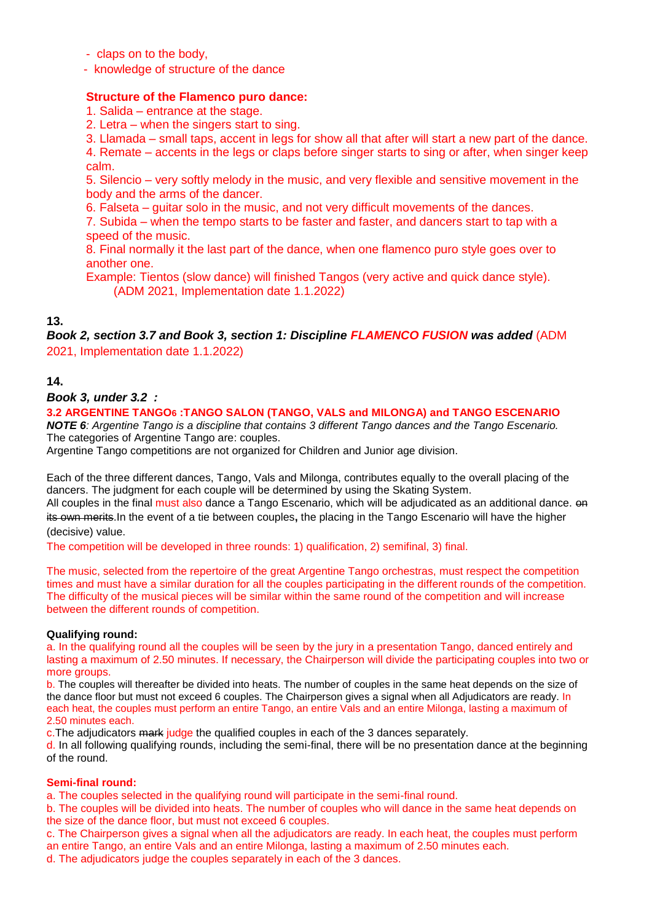- claps on to the body,
- knowledge of structure of the dance

#### **Structure of the Flamenco puro dance:**

- 1. Salida entrance at the stage.
- 2. Letra when the singers start to sing.
- 3. Llamada small taps, accent in legs for show all that after will start a new part of the dance.

4. Remate – accents in the legs or claps before singer starts to sing or after, when singer keep calm.

5. Silencio – very softly melody in the music, and very flexible and sensitive movement in the body and the arms of the dancer.

6. Falseta – guitar solo in the music, and not very difficult movements of the dances.

7. Subida – when the tempo starts to be faster and faster, and dancers start to tap with a speed of the music.

8. Final normally it the last part of the dance, when one flamenco puro style goes over to another one.

Example: Tientos (slow dance) will finished Tangos (very active and quick dance style). (ADM 2021, Implementation date 1.1.2022)

## **13.**

**Book 2, section 3.7 and Book 3, section 1: Discipline FLAMENCO FUSION was added (ADM** 2021, Implementation date 1.1.2022)

## **14.**

#### *Book 3, under 3.2 :*

**3.2 ARGENTINE TANGO6 :TANGO SALON (TANGO, VALS and MILONGA) and TANGO ESCENARIO**  *NOTE 6: Argentine Tango is a discipline that contains 3 different Tango dances and the Tango Escenario.*  The categories of Argentine Tango are: couples.

Argentine Tango competitions are not organized for Children and Junior age division.

Each of the three different dances, Tango, Vals and Milonga, contributes equally to the overall placing of the dancers. The judgment for each couple will be determined by using the Skating System.

All couples in the final must also dance a Tango Escenario, which will be adjudicated as an additional dance.  $\Theta$ its own merits.In the event of a tie between couples**,** the placing in the Tango Escenario will have the higher (decisive) value.

The competition will be developed in three rounds: 1) qualification, 2) semifinal, 3) final.

The music, selected from the repertoire of the great Argentine Tango orchestras, must respect the competition times and must have a similar duration for all the couples participating in the different rounds of the competition. The difficulty of the musical pieces will be similar within the same round of the competition and will increase between the different rounds of competition.

#### **Qualifying round:**

a. In the qualifying round all the couples will be seen by the jury in a presentation Tango, danced entirely and lasting a maximum of 2.50 minutes. If necessary, the Chairperson will divide the participating couples into two or more groups.

b. The couples will thereafter be divided into heats. The number of couples in the same heat depends on the size of the dance floor but must not exceed 6 couples. The Chairperson gives a signal when all Adjudicators are ready. In each heat, the couples must perform an entire Tango, an entire Vals and an entire Milonga, lasting a maximum of 2.50 minutes each.

c.The adjudicators mark judge the qualified couples in each of the 3 dances separately.

d. In all following qualifying rounds, including the semi-final, there will be no presentation dance at the beginning of the round.

#### **Semi-final round:**

a. The couples selected in the qualifying round will participate in the semi-final round.

b. The couples will be divided into heats. The number of couples who will dance in the same heat depends on the size of the dance floor, but must not exceed 6 couples.

c. The Chairperson gives a signal when all the adjudicators are ready. In each heat, the couples must perform an entire Tango, an entire Vals and an entire Milonga, lasting a maximum of 2.50 minutes each.

d. The adjudicators judge the couples separately in each of the 3 dances.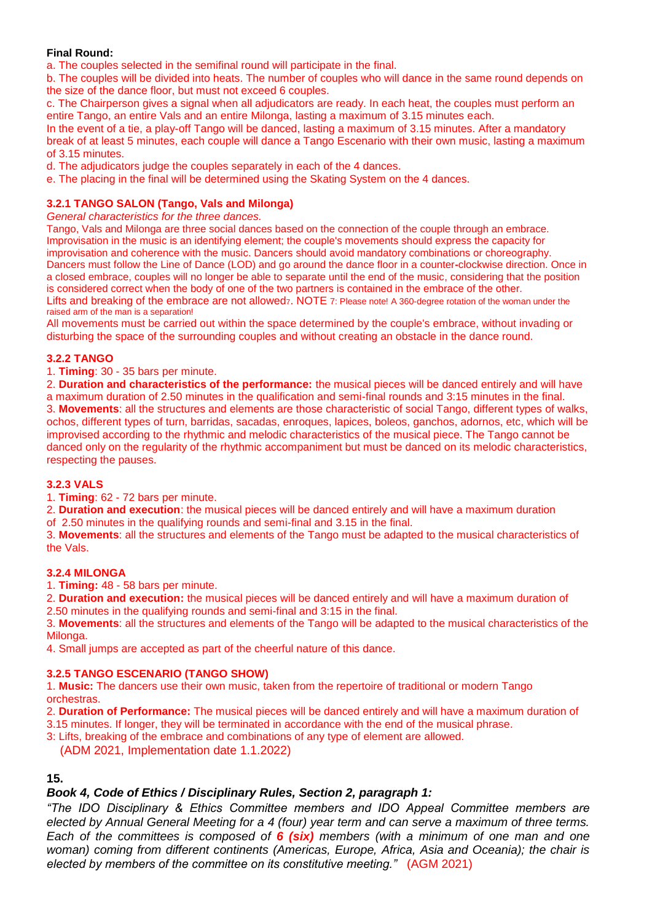#### **Final Round:**

a. The couples selected in the semifinal round will participate in the final.

b. The couples will be divided into heats. The number of couples who will dance in the same round depends on the size of the dance floor, but must not exceed 6 couples.

c. The Chairperson gives a signal when all adjudicators are ready. In each heat, the couples must perform an entire Tango, an entire Vals and an entire Milonga, lasting a maximum of 3.15 minutes each.

In the event of a tie, a play-off Tango will be danced, lasting a maximum of 3.15 minutes. After a mandatory break of at least 5 minutes, each couple will dance a Tango Escenario with their own music, lasting a maximum of 3.15 minutes.

d. The adjudicators judge the couples separately in each of the 4 dances.

e. The placing in the final will be determined using the Skating System on the 4 dances.

#### **3.2.1 TANGO SALON (Tango, Vals and Milonga)**

*General characteristics for the three dances.* 

Tango, Vals and Milonga are three social dances based on the connection of the couple through an embrace. Improvisation in the music is an identifying element; the couple's movements should express the capacity for improvisation and coherence with the music. Dancers should avoid mandatory combinations or choreography. Dancers must follow the Line of Dance (LOD) and go around the dance floor in a counter**-**clockwise direction. Once in a closed embrace, couples will no longer be able to separate until the end of the music, considering that the position is considered correct when the body of one of the two partners is contained in the embrace of the other. Lifts and breaking of the embrace are not allowedz. NOTE 7: Please note! A 360-degree rotation of the woman under the raised arm of the man is a separation!

All movements must be carried out within the space determined by the couple's embrace, without invading or disturbing the space of the surrounding couples and without creating an obstacle in the dance round.

#### **3.2.2 TANGO**

1. **Timing**: 30 - 35 bars per minute.

2. **Duration and characteristics of the performance:** the musical pieces will be danced entirely and will have a maximum duration of 2.50 minutes in the qualification and semi-final rounds and 3:15 minutes in the final. 3. **Movements**: all the structures and elements are those characteristic of social Tango, different types of walks, ochos, different types of turn, barridas, sacadas, enroques, lapices, boleos, ganchos, adornos, etc, which will be improvised according to the rhythmic and melodic characteristics of the musical piece. The Tango cannot be danced only on the regularity of the rhythmic accompaniment but must be danced on its melodic characteristics, respecting the pauses.

#### **3.2.3 VALS**

1. **Timing**: 62 - 72 bars per minute.

2. **Duration and execution**: the musical pieces will be danced entirely and will have a maximum duration

of 2.50 minutes in the qualifying rounds and semi-final and 3.15 in the final.

3. **Movements**: all the structures and elements of the Tango must be adapted to the musical characteristics of the Vals.

#### **3.2.4 MILONGA**

1. **Timing:** 48 - 58 bars per minute.

2. **Duration and execution:** the musical pieces will be danced entirely and will have a maximum duration of 2.50 minutes in the qualifying rounds and semi-final and 3:15 in the final.

3. **Movements**: all the structures and elements of the Tango will be adapted to the musical characteristics of the Milonga.

4. Small jumps are accepted as part of the cheerful nature of this dance.

#### **3.2.5 TANGO ESCENARIO (TANGO SHOW)**

1. **Music:** The dancers use their own music, taken from the repertoire of traditional or modern Tango orchestras.

2. **Duration of Performance:** The musical pieces will be danced entirely and will have a maximum duration of 3.15 minutes. If longer, they will be terminated in accordance with the end of the musical phrase.

3: Lifts, breaking of the embrace and combinations of any type of element are allowed.

(ADM 2021, Implementation date 1.1.2022)

## **15.**

#### *Book 4, Code of Ethics / Disciplinary Rules, Section 2, paragraph 1:*

*"The IDO Disciplinary & Ethics Committee members and IDO Appeal Committee members are elected by Annual General Meeting for a 4 (four) year term and can serve a maximum of three terms. Each of the committees is composed of 6 (six) members (with a minimum of one man and one woman) coming from different continents (Americas, Europe, Africa, Asia and Oceania); the chair is elected by members of the committee on its constitutive meeting."* (AGM 2021)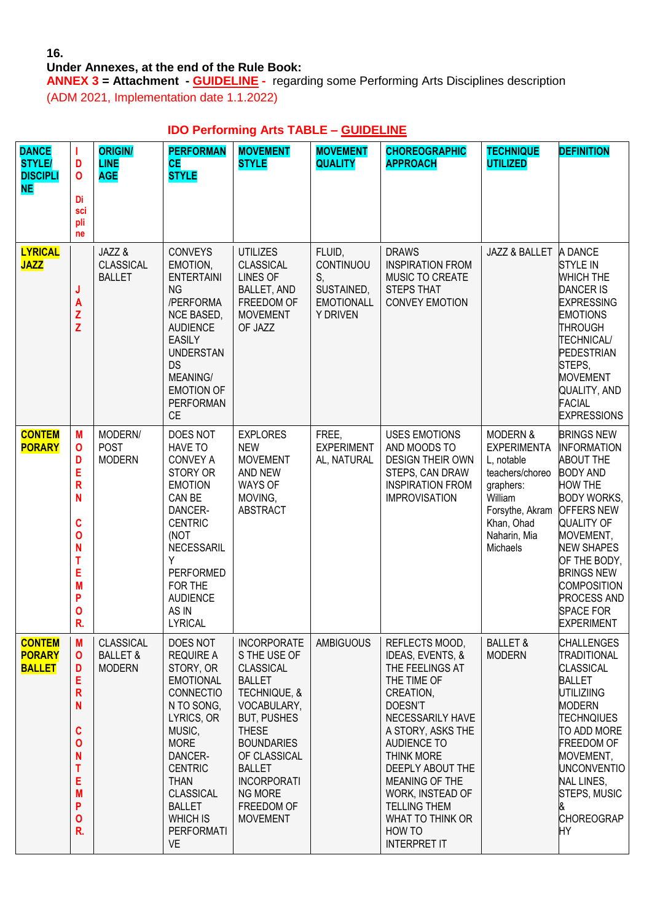## **16.**

# **Under Annexes, at the end of the Rule Book:**

**ANNEX 3 = Attachment - GUIDELINE -** regarding some Performing Arts Disciplines description (ADM 2021, Implementation date 1.1.2022)

# **IDO Performing Arts TABLE – GUIDELINE**

| <b>DANCE</b><br><b>STYLE/</b><br><b>DISCIPLI</b><br><b>NE</b> | T<br>D<br>$\mathbf 0$<br>Di<br>sci<br>pli<br>ne                                                                              | <b>ORIGIN/</b><br><b>LINE</b><br><b>AGE</b>              | <b>PERFORMAN</b><br><b>CE</b><br><b>STYLE</b>                                                                                                                                                                                                                         | <b>MOVEMENT</b><br><b>STYLE</b>                                                                                                                                                                                                                                             | <b>MOVEMENT</b><br><b>QUALITY</b>                                               | <b>CHOREOGRAPHIC</b><br><b>APPROACH</b>                                                                                                                                                                                                                                                                                | <b>TECHNIQUE</b><br><b>UTILIZED</b>                                                                                                                             | <b>DEFINITION</b>                                                                                                                                                                                                                                                                                                            |
|---------------------------------------------------------------|------------------------------------------------------------------------------------------------------------------------------|----------------------------------------------------------|-----------------------------------------------------------------------------------------------------------------------------------------------------------------------------------------------------------------------------------------------------------------------|-----------------------------------------------------------------------------------------------------------------------------------------------------------------------------------------------------------------------------------------------------------------------------|---------------------------------------------------------------------------------|------------------------------------------------------------------------------------------------------------------------------------------------------------------------------------------------------------------------------------------------------------------------------------------------------------------------|-----------------------------------------------------------------------------------------------------------------------------------------------------------------|------------------------------------------------------------------------------------------------------------------------------------------------------------------------------------------------------------------------------------------------------------------------------------------------------------------------------|
| <b>LYRICAL</b><br><b>JAZZ</b>                                 | J<br>A<br>Z<br>Z                                                                                                             | JAZZ &<br><b>CLASSICAL</b><br><b>BALLET</b>              | <b>CONVEYS</b><br>EMOTION,<br><b>ENTERTAINI</b><br><b>NG</b><br>/PERFORMA<br>NCE BASED,<br><b>AUDIENCE</b><br><b>EASILY</b><br><b>UNDERSTAN</b><br><b>DS</b><br><b>MEANING/</b><br><b>EMOTION OF</b><br><b>PERFORMAN</b><br><b>CE</b>                                 | <b>UTILIZES</b><br><b>CLASSICAL</b><br><b>LINES OF</b><br>BALLET, AND<br>FREEDOM OF<br><b>MOVEMENT</b><br>OF JAZZ                                                                                                                                                           | FLUID,<br>CONTINUOU<br>S,<br>SUSTAINED,<br><b>EMOTIONALL</b><br><b>Y DRIVEN</b> | <b>DRAWS</b><br><b>INSPIRATION FROM</b><br>MUSIC TO CREATE<br><b>STEPS THAT</b><br><b>CONVEY EMOTION</b>                                                                                                                                                                                                               | JAZZ & BALLET                                                                                                                                                   | A DANCE<br><b>STYLE IN</b><br><b>WHICH THE</b><br><b>DANCER IS</b><br><b>EXPRESSING</b><br><b>EMOTIONS</b><br><b>THROUGH</b><br><b>TECHNICAL/</b><br>PEDESTRIAN<br>STEPS,<br><b>MOVEMENT</b><br>QUALITY, AND<br><b>FACIAL</b><br><b>EXPRESSIONS</b>                                                                          |
| <b>CONTEM</b><br><b>PORARY</b>                                | M<br>$\mathbf 0$<br>D<br>E<br>$\overline{\mathsf{R}}$<br>N<br>C<br>$\mathbf 0$<br>N<br>T<br>Ε<br>M<br>P<br>$\mathbf 0$<br>R. | MODERN/<br><b>POST</b><br><b>MODERN</b>                  | DOES NOT<br><b>HAVE TO</b><br><b>CONVEY A</b><br>STORY OR<br><b>EMOTION</b><br>CAN BE<br>DANCER-<br><b>CENTRIC</b><br>(NOT<br>NECESSARIL<br>Υ<br><b>PERFORMED</b><br>FOR THE<br><b>AUDIENCE</b><br>AS IN<br><b>LYRICAL</b>                                            | <b>EXPLORES</b><br><b>NEW</b><br><b>MOVEMENT</b><br>AND NEW<br><b>WAYS OF</b><br>MOVING,<br><b>ABSTRACT</b>                                                                                                                                                                 | FREE,<br><b>EXPERIMENT</b><br>AL, NATURAL                                       | <b>USES EMOTIONS</b><br>AND MOODS TO<br><b>DESIGN THEIR OWN</b><br>STEPS, CAN DRAW<br><b>INSPIRATION FROM</b><br><b>IMPROVISATION</b>                                                                                                                                                                                  | <b>MODERN &amp;</b><br><b>EXPERIMENTA</b><br>L, notable<br>teachers/choreo<br>graphers:<br>William<br>Forsythe, Akram<br>Khan, Ohad<br>Naharin, Mia<br>Michaels | <b>BRINGS NEW</b><br><b>INFORMATION</b><br><b>ABOUT THE</b><br><b>BODY AND</b><br><b>HOW THE</b><br><b>BODY WORKS,</b><br><b>OFFERS NEW</b><br><b>QUALITY OF</b><br>MOVEMENT,<br><b>NEW SHAPES</b><br>OF THE BODY,<br><b>BRINGS NEW</b><br><b>COMPOSITION</b><br><b>PROCESS AND</b><br><b>SPACE FOR</b><br><b>EXPERIMENT</b> |
| <b>CONTEM</b><br><b>PORARY</b><br><b>BALLET</b>               | M<br>$\mathbf 0$<br>D<br>E<br>$\mathsf{R}$<br>N<br>C<br>$\mathbf 0$<br>N<br>T<br>Е<br>M<br>P<br>$\mathbf 0$<br>R.            | <b>CLASSICAL</b><br><b>BALLET &amp;</b><br><b>MODERN</b> | DOES NOT<br><b>REQUIRE A</b><br>STORY, OR<br><b>EMOTIONAL</b><br><b>CONNECTIO</b><br>N TO SONG,<br>LYRICS, OR<br>MUSIC,<br><b>MORE</b><br>DANCER-<br><b>CENTRIC</b><br><b>THAN</b><br><b>CLASSICAL</b><br><b>BALLET</b><br><b>WHICH IS</b><br><b>PERFORMATI</b><br>VE | <b>INCORPORATE</b><br>S THE USE OF<br><b>CLASSICAL</b><br><b>BALLET</b><br>TECHNIQUE, &<br>VOCABULARY,<br><b>BUT, PUSHES</b><br><b>THESE</b><br><b>BOUNDARIES</b><br>OF CLASSICAL<br><b>BALLET</b><br><b>INCORPORATI</b><br><b>NG MORE</b><br>FREEDOM OF<br><b>MOVEMENT</b> | <b>AMBIGUOUS</b>                                                                | REFLECTS MOOD,<br>IDEAS, EVENTS, &<br>THE FEELINGS AT<br>THE TIME OF<br>CREATION,<br>DOESN'T<br>NECESSARILY HAVE<br>A STORY, ASKS THE<br><b>AUDIENCE TO</b><br><b>THINK MORE</b><br>DEEPLY ABOUT THE<br>MEANING OF THE<br>WORK, INSTEAD OF<br><b>TELLING THEM</b><br>WHAT TO THINK OR<br>HOW TO<br><b>INTERPRET IT</b> | <b>BALLET &amp;</b><br><b>MODERN</b>                                                                                                                            | <b>CHALLENGES</b><br><b>TRADITIONAL</b><br><b>CLASSICAL</b><br><b>BALLET</b><br>UTILIZIING<br><b>MODERN</b><br>TECHNQIUES<br>TO ADD MORE<br><b>FREEDOM OF</b><br>MOVEMENT,<br><b>UNCONVENTIO</b><br><b>NAL LINES,</b><br>STEPS, MUSIC<br>&<br><b>CHOREOGRAP</b><br>HY                                                        |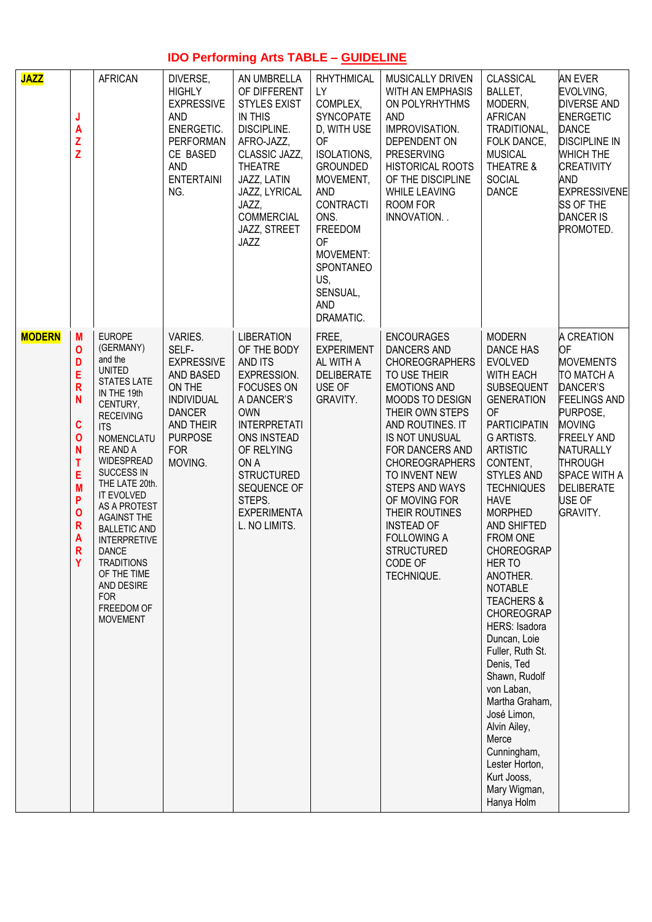# **IDO Performing Arts TABLE – GUIDELINE**

| <b>JAZZ</b>   | J<br>Α<br>Z<br>Z                                                                       | <b>AFRICAN</b>                                                                                                                                                                                                                                                                                                                                                                                                                       | DIVERSE,<br><b>HIGHLY</b><br><b>EXPRESSIVE</b><br><b>AND</b><br>ENERGETIC.<br>PERFORMAN<br>CE BASED<br><b>AND</b><br><b>ENTERTAINI</b><br>NG.              | AN UMBRELLA<br>OF DIFFERENT<br><b>STYLES EXIST</b><br><b>IN THIS</b><br>DISCIPLINE.<br>AFRO-JAZZ,<br>CLASSIC JAZZ,<br><b>THEATRE</b><br>JAZZ, LATIN<br>JAZZ, LYRICAL<br>JAZZ,<br>COMMERCIAL<br>JAZZ, STREET<br>JAZZ                                                 | <b>RHYTHMICAL</b><br><b>LY</b><br>COMPLEX.<br>SYNCOPATE<br>D, WITH USE<br><b>OF</b><br>ISOLATIONS,<br><b>GROUNDED</b><br>MOVEMENT,<br><b>AND</b><br><b>CONTRACTI</b><br>ONS.<br>FREEDOM<br><b>OF</b><br>MOVEMENT:<br>SPONTANEO<br>US,<br>SENSUAL,<br><b>AND</b><br>DRAMATIC. | MUSICALLY DRIVEN<br>WITH AN EMPHASIS<br>ON POLYRHYTHMS<br><b>AND</b><br>IMPROVISATION.<br>DEPENDENT ON<br><b>PRESERVING</b><br><b>HISTORICAL ROOTS</b><br>OF THE DISCIPLINE<br><b>WHILE LEAVING</b><br>ROOM FOR<br>INNOVATION                                                                                                                                                                                | CLASSICAL<br>BALLET,<br>MODERN,<br><b>AFRICAN</b><br>TRADITIONAL,<br>FOLK DANCE,<br><b>MUSICAL</b><br>THEATRE &<br><b>SOCIAL</b><br><b>DANCE</b>                                                                                                                                                                                                                                                                                                                                                                                                                                                                                                                     | <b>AN EVER</b><br>EVOLVING,<br><b>DIVERSE AND</b><br><b>ENERGETIC</b><br><b>DANCE</b><br><b>DISCIPLINE IN</b><br><b>WHICH THE</b><br><b>CREATIVITY</b><br>and<br><b>EXPRESSIVENE</b><br><b>SS OF THE</b><br><b>DANCER IS</b><br>PROMOTED.              |
|---------------|----------------------------------------------------------------------------------------|--------------------------------------------------------------------------------------------------------------------------------------------------------------------------------------------------------------------------------------------------------------------------------------------------------------------------------------------------------------------------------------------------------------------------------------|------------------------------------------------------------------------------------------------------------------------------------------------------------|---------------------------------------------------------------------------------------------------------------------------------------------------------------------------------------------------------------------------------------------------------------------|------------------------------------------------------------------------------------------------------------------------------------------------------------------------------------------------------------------------------------------------------------------------------|--------------------------------------------------------------------------------------------------------------------------------------------------------------------------------------------------------------------------------------------------------------------------------------------------------------------------------------------------------------------------------------------------------------|----------------------------------------------------------------------------------------------------------------------------------------------------------------------------------------------------------------------------------------------------------------------------------------------------------------------------------------------------------------------------------------------------------------------------------------------------------------------------------------------------------------------------------------------------------------------------------------------------------------------------------------------------------------------|--------------------------------------------------------------------------------------------------------------------------------------------------------------------------------------------------------------------------------------------------------|
| <b>MODERN</b> | M<br>0<br>D<br>Ė<br>R<br>N<br>C<br>O<br>N<br>T<br>E<br>M<br>P<br>O<br>R<br>A<br>R<br>Υ | <b>EUROPE</b><br>(GERMANY)<br>and the<br><b>UNITED</b><br><b>STATES LATE</b><br>IN THE 19th<br>CENTURY,<br><b>RECEIVING</b><br><b>ITS</b><br>NOMENCLATU<br>RE AND A<br>WIDESPREAD<br>SUCCESS IN<br>THE LATE 20th.<br>IT EVOLVED<br>AS A PROTEST<br><b>AGAINST THE</b><br><b>BALLETIC AND</b><br><b>INTERPRETIVE</b><br><b>DANCE</b><br><b>TRADITIONS</b><br>OF THE TIME<br>AND DESIRE<br><b>FOR</b><br>FREEDOM OF<br><b>MOVEMENT</b> | VARIES.<br>SELF-<br><b>EXPRESSIVE</b><br>AND BASED<br>ON THE<br><b>INDIVIDUAL</b><br><b>DANCER</b><br>AND THEIR<br><b>PURPOSE</b><br><b>FOR</b><br>MOVING. | <b>LIBERATION</b><br>OF THE BODY<br>AND ITS<br><b>EXPRESSION.</b><br><b>FOCUSES ON</b><br>A DANCER'S<br><b>OWN</b><br><b>INTERPRETATI</b><br>ONS INSTEAD<br>OF RELYING<br>ON A<br><b>STRUCTURED</b><br>SEQUENCE OF<br>STEPS.<br><b>EXPERIMENTA</b><br>L. NO LIMITS. | FREE,<br><b>EXPERIMENT</b><br>AL WITH A<br><b>DELIBERATE</b><br>USE OF<br>GRAVITY.                                                                                                                                                                                           | <b>ENCOURAGES</b><br><b>DANCERS AND</b><br><b>CHOREOGRAPHERS</b><br>TO USE THEIR<br><b>EMOTIONS AND</b><br><b>MOODS TO DESIGN</b><br>THEIR OWN STEPS<br>AND ROUTINES. IT<br>IS NOT UNUSUAL<br>FOR DANCERS AND<br><b>CHOREOGRAPHERS</b><br>TO INVENT NEW<br><b>STEPS AND WAYS</b><br>OF MOVING FOR<br>THEIR ROUTINES<br><b>INSTEAD OF</b><br><b>FOLLOWING A</b><br><b>STRUCTURED</b><br>CODE OF<br>TECHNIQUE. | <b>MODERN</b><br><b>DANCE HAS</b><br><b>EVOLVED</b><br><b>WITH EACH</b><br>SUBSEQUENT<br><b>GENERATION</b><br><b>OF</b><br><b>PARTICIPATIN</b><br><b>G ARTISTS.</b><br><b>ARTISTIC</b><br>CONTENT,<br><b>STYLES AND</b><br><b>TECHNIQUES</b><br><b>HAVE</b><br><b>MORPHED</b><br>AND SHIFTED<br><b>FROM ONE</b><br><b>CHOREOGRAP</b><br>HER TO<br>ANOTHER.<br><b>NOTABLE</b><br><b>TEACHERS &amp;</b><br><b>CHOREOGRAP</b><br>HERS: Isadora<br>Duncan, Loie<br>Fuller, Ruth St.<br>Denis, Ted<br>Shawn, Rudolf<br>von Laban,<br>Martha Graham,<br>José Limon,<br>Alvin Ailey,<br>Merce<br>Cunningham,<br>Lester Horton,<br>Kurt Jooss,<br>Mary Wigman,<br>Hanya Holm | A CREATION<br>OF<br><b>MOVEMENTS</b><br>TO MATCH A<br>DANCER'S<br><b>FEELINGS AND</b><br>PURPOSE,<br><b>MOVING</b><br><b>FREELY AND</b><br><b>NATURALLY</b><br><b>THROUGH</b><br><b>SPACE WITH A</b><br><b>DELIBERATE</b><br>USE OF<br><b>GRAVITY.</b> |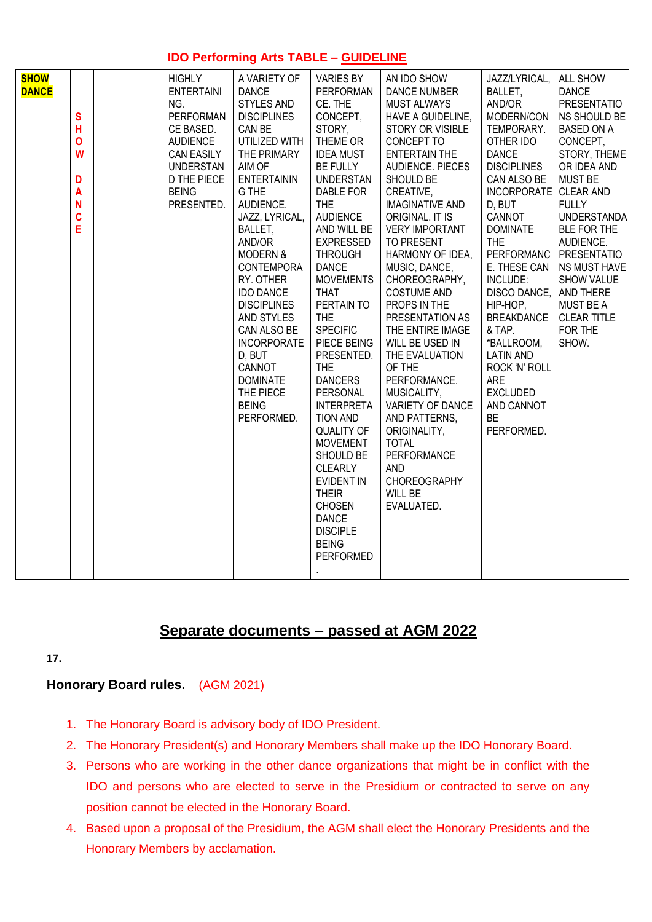# **IDO Performing Arts TABLE – GUIDELINE**

| <b>SHOW</b><br><b>HIGHLY</b><br>A VARIETY OF<br><b>VARIES BY</b><br>AN IDO SHOW<br>JAZZ/LYRICAL,<br><b>DANCE</b><br><b>ENTERTAINI</b><br><b>DANCE</b><br>PERFORMAN<br><b>DANCE NUMBER</b><br>BALLET,<br><b>STYLES AND</b><br>CE. THE<br>AND/OR<br>NG.<br><b>MUST ALWAYS</b><br>CONCEPT,<br>S<br><b>PERFORMAN</b><br><b>DISCIPLINES</b><br>HAVE A GUIDELINE,<br>MODERN/CON<br>Н<br>CE BASED.<br>CAN BE<br>STORY,<br>STORY OR VISIBLE<br>TEMPORARY.<br>THEME OR<br>$\mathbf{o}$<br><b>AUDIENCE</b><br>UTILIZED WITH<br>CONCEPT TO<br>OTHER IDO<br><b>DANCE</b><br>W<br><b>CAN EASILY</b><br>THE PRIMARY<br><b>IDEA MUST</b><br><b>ENTERTAIN THE</b><br><b>UNDERSTAN</b><br>AIM OF<br><b>BE FULLY</b><br><b>AUDIENCE. PIECES</b><br><b>DISCIPLINES</b><br>D THE PIECE<br><b>ENTERTAININ</b><br>CAN ALSO BE<br>D<br>UNDERSTAN<br>SHOULD BE<br><b>BEING</b><br>G THE<br>DABLE FOR<br>CREATIVE,<br>A<br>AUDIENCE.<br>N<br>PRESENTED.<br><b>THE</b><br><b>IMAGINATIVE AND</b><br>D, BUT<br>C<br><b>AUDIENCE</b><br>JAZZ, LYRICAL,<br>ORIGINAL. IT IS<br>CANNOT<br>E<br>BALLET,<br>AND WILL BE<br><b>VERY IMPORTANT</b><br><b>DOMINATE</b><br>AND/OR<br><b>EXPRESSED</b><br>TO PRESENT<br><b>THE</b><br>PERFORMANC<br><b>MODERN &amp;</b><br><b>THROUGH</b><br>HARMONY OF IDEA,<br><b>DANCE</b><br>MUSIC, DANCE,<br>E. THESE CAN<br><b>CONTEMPORA</b><br>INCLUDE:<br>RY. OTHER<br><b>MOVEMENTS</b><br>CHOREOGRAPHY,<br><b>IDO DANCE</b><br><b>THAT</b><br><b>COSTUME AND</b><br>PERTAIN TO<br>PROPS IN THE<br>HIP-HOP,<br><b>DISCIPLINES</b><br><b>THE</b><br><b>BREAKDANCE</b><br>AND STYLES<br>PRESENTATION AS<br><b>SPECIFIC</b><br>THE ENTIRE IMAGE<br>& TAP.<br>CAN ALSO BE<br><b>INCORPORATE</b><br>PIECE BEING<br>WILL BE USED IN<br>*BALLROOM,<br>D, BUT<br>PRESENTED.<br>THE EVALUATION<br><b>LATIN AND</b><br>CANNOT<br><b>THE</b><br>OF THE<br>ROCK 'N' ROLL<br><b>DANCERS</b><br>PERFORMANCE.<br>ARE<br><b>DOMINATE</b><br>PERSONAL<br><b>EXCLUDED</b><br>THE PIECE<br>MUSICALITY,<br><b>BEING</b><br>VARIETY OF DANCE<br><b>INTERPRETA</b><br>AND CANNOT<br>PERFORMED.<br>TION AND<br><b>BE</b><br>AND PATTERNS,<br><b>QUALITY OF</b><br>ORIGINALITY,<br>PERFORMED.<br><b>MOVEMENT</b><br><b>TOTAL</b><br>PERFORMANCE<br>SHOULD BE<br><b>CLEARLY</b><br><b>AND</b><br><b>CHOREOGRAPHY</b><br><b>EVIDENT IN</b> | <b>ALL SHOW</b><br><b>DANCE</b><br><b>PRESENTATIO</b><br>NS SHOULD BE<br><b>BASED ON A</b><br>CONCEPT,<br>STORY, THEME<br>OR IDEA AND<br><b>MUST BE</b><br>INCORPORATE CLEAR AND<br><b>FULLY</b><br>UNDERSTANDA<br><b>BLE FOR THE</b><br>AUDIENCE.<br><b>PRESENTATIO</b><br>NS MUST HAVE<br><b>SHOW VALUE</b><br>DISCO DANCE,<br>AND THERE<br><b>MUST BE A</b><br><b>CLEAR TITLE</b><br>FOR THE<br>SHOW. |
|---------------------------------------------------------------------------------------------------------------------------------------------------------------------------------------------------------------------------------------------------------------------------------------------------------------------------------------------------------------------------------------------------------------------------------------------------------------------------------------------------------------------------------------------------------------------------------------------------------------------------------------------------------------------------------------------------------------------------------------------------------------------------------------------------------------------------------------------------------------------------------------------------------------------------------------------------------------------------------------------------------------------------------------------------------------------------------------------------------------------------------------------------------------------------------------------------------------------------------------------------------------------------------------------------------------------------------------------------------------------------------------------------------------------------------------------------------------------------------------------------------------------------------------------------------------------------------------------------------------------------------------------------------------------------------------------------------------------------------------------------------------------------------------------------------------------------------------------------------------------------------------------------------------------------------------------------------------------------------------------------------------------------------------------------------------------------------------------------------------------------------------------------------------------------------------------------------------------------------------------------------------------------------------------------------------------|----------------------------------------------------------------------------------------------------------------------------------------------------------------------------------------------------------------------------------------------------------------------------------------------------------------------------------------------------------------------------------------------------------|
|---------------------------------------------------------------------------------------------------------------------------------------------------------------------------------------------------------------------------------------------------------------------------------------------------------------------------------------------------------------------------------------------------------------------------------------------------------------------------------------------------------------------------------------------------------------------------------------------------------------------------------------------------------------------------------------------------------------------------------------------------------------------------------------------------------------------------------------------------------------------------------------------------------------------------------------------------------------------------------------------------------------------------------------------------------------------------------------------------------------------------------------------------------------------------------------------------------------------------------------------------------------------------------------------------------------------------------------------------------------------------------------------------------------------------------------------------------------------------------------------------------------------------------------------------------------------------------------------------------------------------------------------------------------------------------------------------------------------------------------------------------------------------------------------------------------------------------------------------------------------------------------------------------------------------------------------------------------------------------------------------------------------------------------------------------------------------------------------------------------------------------------------------------------------------------------------------------------------------------------------------------------------------------------------------------------------|----------------------------------------------------------------------------------------------------------------------------------------------------------------------------------------------------------------------------------------------------------------------------------------------------------------------------------------------------------------------------------------------------------|

# **Separate documents – passed at AGM 2022**

**17.** 

# **Honorary Board rules.** (AGM 2021)

- 1. The Honorary Board is advisory body of IDO President.
- 2. The Honorary President(s) and Honorary Members shall make up the IDO Honorary Board.
- 3. Persons who are working in the other dance organizations that might be in conflict with the IDO and persons who are elected to serve in the Presidium or contracted to serve on any position cannot be elected in the Honorary Board.
- 4. Based upon a proposal of the Presidium, the AGM shall elect the Honorary Presidents and the Honorary Members by acclamation.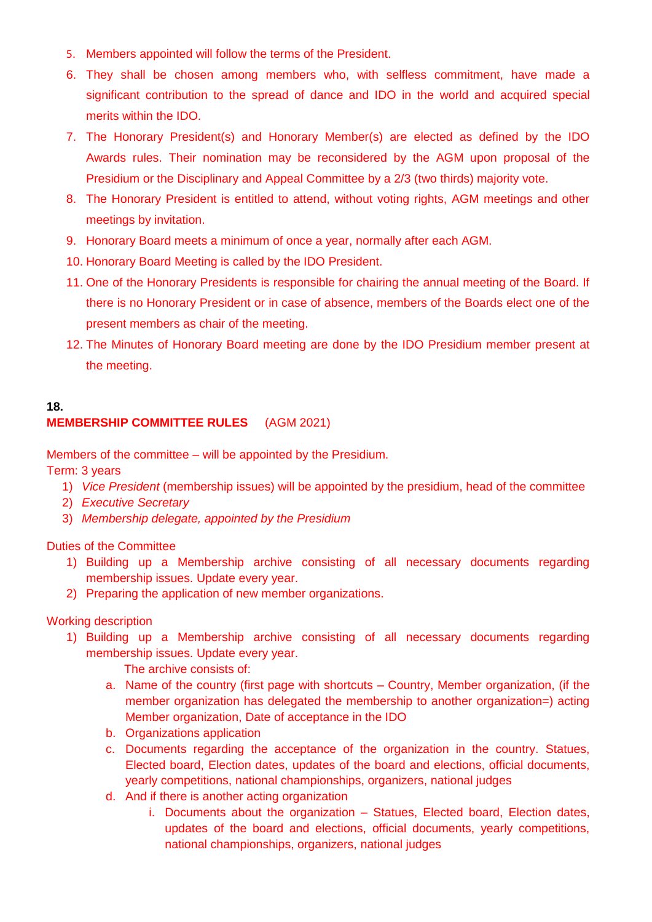- 5. Members appointed will follow the terms of the President.
- 6. They shall be chosen among members who, with selfless commitment, have made a significant contribution to the spread of dance and IDO in the world and acquired special merits within the IDO.
- 7. The Honorary President(s) and Honorary Member(s) are elected as defined by the IDO Awards rules. Their nomination may be reconsidered by the AGM upon proposal of the Presidium or the Disciplinary and Appeal Committee by a 2/3 (two thirds) majority vote.
- 8. The Honorary President is entitled to attend, without voting rights, AGM meetings and other meetings by invitation.
- 9. Honorary Board meets a minimum of once a year, normally after each AGM.
- 10. Honorary Board Meeting is called by the IDO President.
- 11. One of the Honorary Presidents is responsible for chairing the annual meeting of the Board. If there is no Honorary President or in case of absence, members of the Boards elect one of the present members as chair of the meeting.
- 12. The Minutes of Honorary Board meeting are done by the IDO Presidium member present at the meeting.

#### **18. MEMBERSHIP COMMITTEE RULES** (AGM 2021)

Members of the committee – will be appointed by the Presidium.

Term: 3 years

- 1) *Vice President* (membership issues) will be appointed by the presidium, head of the committee
- 2) *Executive Secretary*
- 3) *Membership delegate, appointed by the Presidium*

Duties of the Committee

- 1) Building up a Membership archive consisting of all necessary documents regarding membership issues. Update every year.
- 2) Preparing the application of new member organizations.

Working description

1) Building up a Membership archive consisting of all necessary documents regarding membership issues. Update every year.

The archive consists of:

- a. Name of the country (first page with shortcuts Country, Member organization, (if the member organization has delegated the membership to another organization=) acting Member organization, Date of acceptance in the IDO
- b. Organizations application
- c. Documents regarding the acceptance of the organization in the country. Statues, Elected board, Election dates, updates of the board and elections, official documents, yearly competitions, national championships, organizers, national judges
- d. And if there is another acting organization
	- i. Documents about the organization Statues, Elected board, Election dates, updates of the board and elections, official documents, yearly competitions, national championships, organizers, national judges